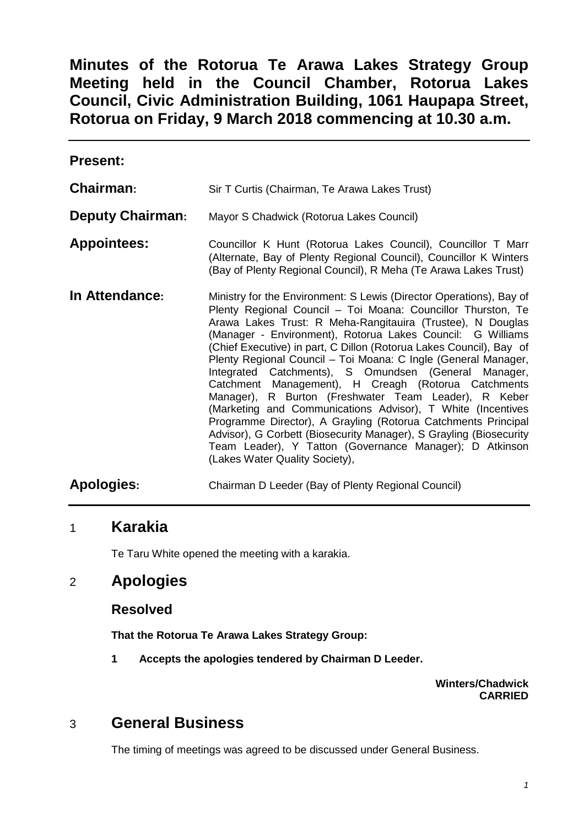**Minutes of the Rotorua Te Arawa Lakes Strategy Group Meeting held in the Council Chamber, Rotorua Lakes Council, Civic Administration Building, 1061 Haupapa Street, Rotorua on Friday, 9 March 2018 commencing at 10.30 a.m.** 

**Present:** 

**Chairman:** Sir T Curtis (Chairman, Te Arawa Lakes Trust)

**Deputy Chairman:** Mayor S Chadwick (Rotorua Lakes Council)

- **Appointees:** Councillor K Hunt (Rotorua Lakes Council), Councillor T Marr (Alternate, Bay of Plenty Regional Council), Councillor K Winters (Bay of Plenty Regional Council), R Meha (Te Arawa Lakes Trust)
- **In Attendance:** Ministry for the Environment: S Lewis (Director Operations), Bay of Plenty Regional Council – Toi Moana: Councillor Thurston, Te Arawa Lakes Trust: R Meha-Rangitauira (Trustee), N Douglas (Manager - Environment), Rotorua Lakes Council: G Williams (Chief Executive) in part, C Dillon (Rotorua Lakes Council), Bay of Plenty Regional Council – Toi Moana: C Ingle (General Manager, Integrated Catchments), S Omundsen (General Manager, Catchment Management), H Creagh (Rotorua Catchments Manager), R Burton (Freshwater Team Leader), R Keber (Marketing and Communications Advisor), T White (Incentives Programme Director), A Grayling (Rotorua Catchments Principal Advisor), G Corbett (Biosecurity Manager), S Grayling (Biosecurity Team Leader), Y Tatton (Governance Manager); D Atkinson (Lakes Water Quality Society),
- **Apologies:** Chairman D Leeder (Bay of Plenty Regional Council)

# 1 **Karakia**

Te Taru White opened the meeting with a karakia.

# 2 **Apologies**

## **Resolved**

**That the Rotorua Te Arawa Lakes Strategy Group:** 

**1 Accepts the apologies tendered by Chairman D Leeder.** 

**Winters/Chadwick CARRIED** 

# 3 **General Business**

The timing of meetings was agreed to be discussed under General Business.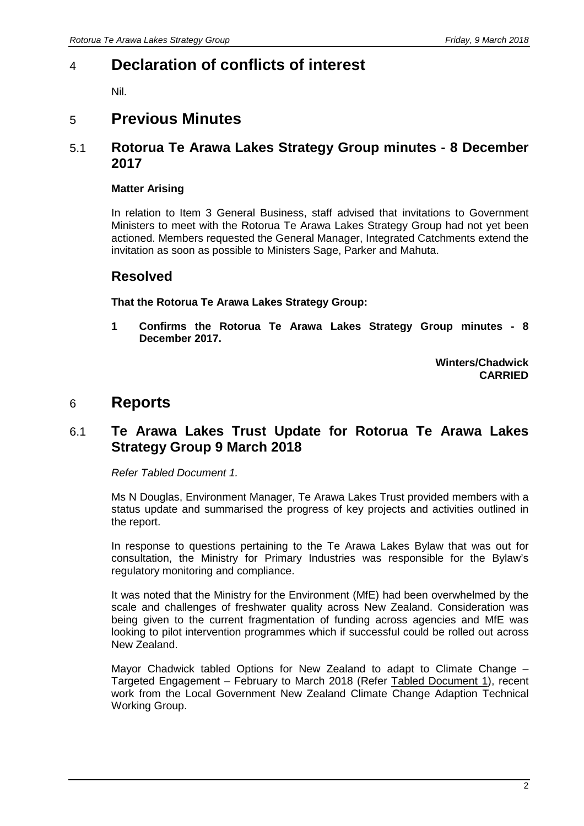# 4 **Declaration of conflicts of interest**

Nil.

# 5 **Previous Minutes**

#### 5.1 **Rotorua Te Arawa Lakes Strategy Group minutes - 8 December 2017**

#### **Matter Arising**

In relation to Item 3 General Business, staff advised that invitations to Government Ministers to meet with the Rotorua Te Arawa Lakes Strategy Group had not yet been actioned. Members requested the General Manager, Integrated Catchments extend the invitation as soon as possible to Ministers Sage, Parker and Mahuta.

#### **Resolved**

**That the Rotorua Te Arawa Lakes Strategy Group:** 

**1 Confirms the Rotorua Te Arawa Lakes Strategy Group minutes - 8 December 2017.** 

> **Winters/Chadwick CARRIED**

# 6 **Reports**

## 6.1 **Te Arawa Lakes Trust Update for Rotorua Te Arawa Lakes Strategy Group 9 March 2018**

Refer Tabled Document 1.

Ms N Douglas, Environment Manager, Te Arawa Lakes Trust provided members with a status update and summarised the progress of key projects and activities outlined in the report.

In response to questions pertaining to the Te Arawa Lakes Bylaw that was out for consultation, the Ministry for Primary Industries was responsible for the Bylaw's regulatory monitoring and compliance.

It was noted that the Ministry for the Environment (MfE) had been overwhelmed by the scale and challenges of freshwater quality across New Zealand. Consideration was being given to the current fragmentation of funding across agencies and MfE was looking to pilot intervention programmes which if successful could be rolled out across New Zealand.

Mayor Chadwick tabled Options for New Zealand to adapt to Climate Change – Targeted Engagement – February to March 2018 (Refer Tabled Document 1), recent work from the Local Government New Zealand Climate Change Adaption Technical Working Group.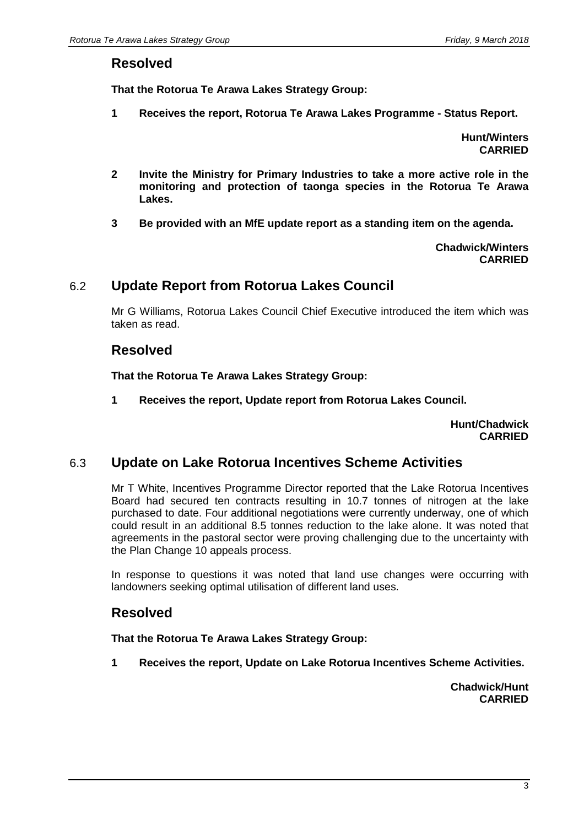#### **Resolved**

**That the Rotorua Te Arawa Lakes Strategy Group:** 

**1 Receives the report, Rotorua Te Arawa Lakes Programme - Status Report.** 

**Hunt/Winters CARRIED** 

- **2 Invite the Ministry for Primary Industries to take a more active role in the monitoring and protection of taonga species in the Rotorua Te Arawa Lakes.**
- **3 Be provided with an MfE update report as a standing item on the agenda.**

**Chadwick/Winters CARRIED**

#### 6.2 **Update Report from Rotorua Lakes Council**

Mr G Williams, Rotorua Lakes Council Chief Executive introduced the item which was taken as read.

#### **Resolved**

**That the Rotorua Te Arawa Lakes Strategy Group:** 

**1 Receives the report, Update report from Rotorua Lakes Council.** 

**Hunt/Chadwick CARRIED**

#### 6.3 **Update on Lake Rotorua Incentives Scheme Activities**

Mr T White, Incentives Programme Director reported that the Lake Rotorua Incentives Board had secured ten contracts resulting in 10.7 tonnes of nitrogen at the lake purchased to date. Four additional negotiations were currently underway, one of which could result in an additional 8.5 tonnes reduction to the lake alone. It was noted that agreements in the pastoral sector were proving challenging due to the uncertainty with the Plan Change 10 appeals process.

In response to questions it was noted that land use changes were occurring with landowners seeking optimal utilisation of different land uses.

## **Resolved**

**That the Rotorua Te Arawa Lakes Strategy Group:** 

**1 Receives the report, Update on Lake Rotorua Incentives Scheme Activities.** 

**Chadwick/Hunt CARRIED**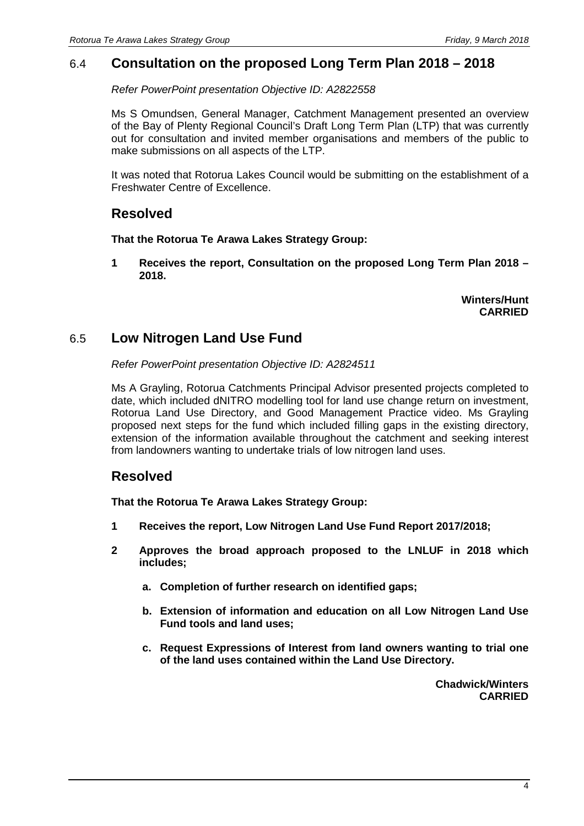#### 6.4 **Consultation on the proposed Long Term Plan 2018 – 2018**

Refer PowerPoint presentation Objective ID: A2822558

Ms S Omundsen, General Manager, Catchment Management presented an overview of the Bay of Plenty Regional Council's Draft Long Term Plan (LTP) that was currently out for consultation and invited member organisations and members of the public to make submissions on all aspects of the LTP.

It was noted that Rotorua Lakes Council would be submitting on the establishment of a Freshwater Centre of Excellence.

## **Resolved**

#### **That the Rotorua Te Arawa Lakes Strategy Group:**

**1 Receives the report, Consultation on the proposed Long Term Plan 2018 – 2018.** 

> **Winters/Hunt CARRIED**

## 6.5 **Low Nitrogen Land Use Fund**

Refer PowerPoint presentation Objective ID: A2824511

Ms A Grayling, Rotorua Catchments Principal Advisor presented projects completed to date, which included dNITRO modelling tool for land use change return on investment, Rotorua Land Use Directory, and Good Management Practice video. Ms Grayling proposed next steps for the fund which included filling gaps in the existing directory, extension of the information available throughout the catchment and seeking interest from landowners wanting to undertake trials of low nitrogen land uses.

## **Resolved**

**That the Rotorua Te Arawa Lakes Strategy Group:** 

- **1 Receives the report, Low Nitrogen Land Use Fund Report 2017/2018;**
- **2 Approves the broad approach proposed to the LNLUF in 2018 which includes;** 
	- **a. Completion of further research on identified gaps;**
	- **b. Extension of information and education on all Low Nitrogen Land Use Fund tools and land uses;**
	- **c. Request Expressions of Interest from land owners wanting to trial one of the land uses contained within the Land Use Directory.**

**Chadwick/Winters CARRIED**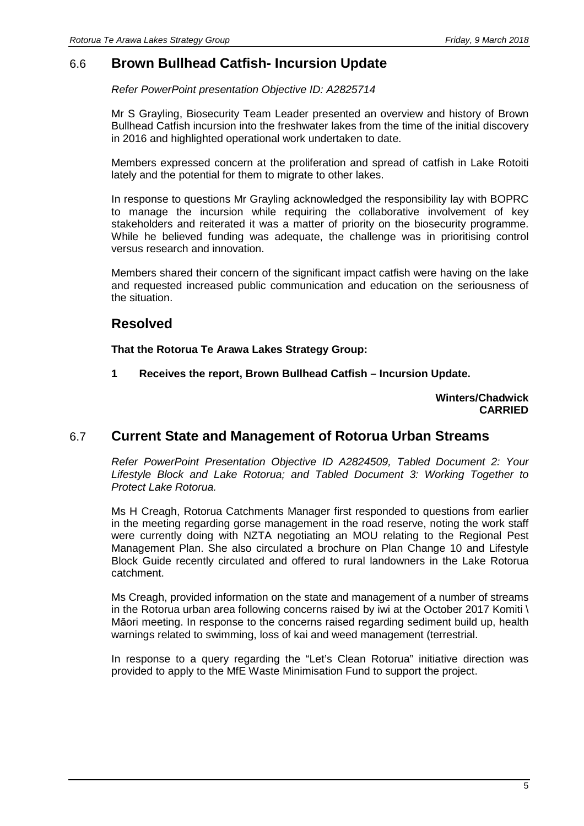## 6.6 **Brown Bullhead Catfish- Incursion Update**

Refer PowerPoint presentation Objective ID: A2825714

Mr S Grayling, Biosecurity Team Leader presented an overview and history of Brown Bullhead Catfish incursion into the freshwater lakes from the time of the initial discovery in 2016 and highlighted operational work undertaken to date.

Members expressed concern at the proliferation and spread of catfish in Lake Rotoiti lately and the potential for them to migrate to other lakes.

In response to questions Mr Grayling acknowledged the responsibility lay with BOPRC to manage the incursion while requiring the collaborative involvement of key stakeholders and reiterated it was a matter of priority on the biosecurity programme. While he believed funding was adequate, the challenge was in prioritising control versus research and innovation.

Members shared their concern of the significant impact catfish were having on the lake and requested increased public communication and education on the seriousness of the situation.

# **Resolved**

**That the Rotorua Te Arawa Lakes Strategy Group:** 

**1 Receives the report, Brown Bullhead Catfish – Incursion Update.** 

#### **Winters/Chadwick CARRIED**

## 6.7 **Current State and Management of Rotorua Urban Streams**

Refer PowerPoint Presentation Objective ID A2824509, Tabled Document 2: Your Lifestyle Block and Lake Rotorua; and Tabled Document 3: Working Together to Protect Lake Rotorua.

Ms H Creagh, Rotorua Catchments Manager first responded to questions from earlier in the meeting regarding gorse management in the road reserve, noting the work staff were currently doing with NZTA negotiating an MOU relating to the Regional Pest Management Plan. She also circulated a brochure on Plan Change 10 and Lifestyle Block Guide recently circulated and offered to rural landowners in the Lake Rotorua catchment.

Ms Creagh, provided information on the state and management of a number of streams in the Rotorua urban area following concerns raised by iwi at the October 2017 Komiti \ Māori meeting. In response to the concerns raised regarding sediment build up, health warnings related to swimming, loss of kai and weed management (terrestrial.

In response to a query regarding the "Let's Clean Rotorua" initiative direction was provided to apply to the MfE Waste Minimisation Fund to support the project.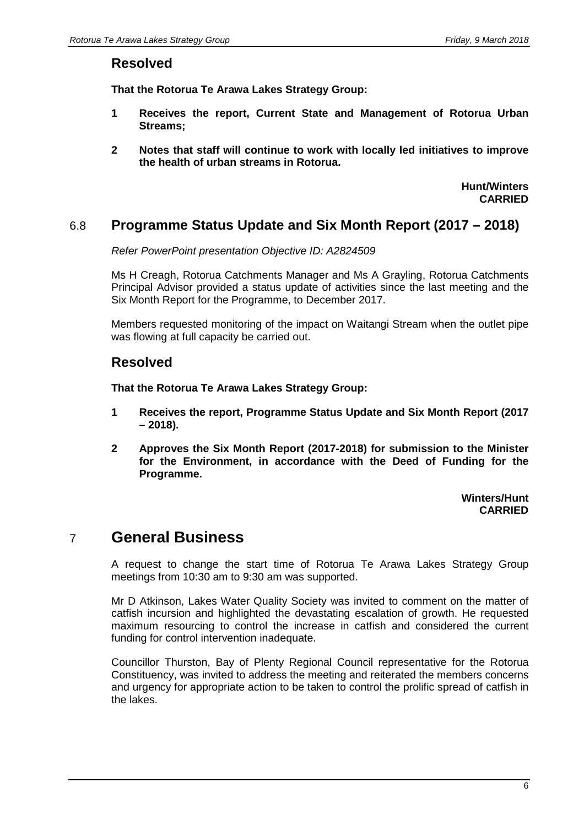#### **Resolved**

**That the Rotorua Te Arawa Lakes Strategy Group:** 

- **1 Receives the report, Current State and Management of Rotorua Urban Streams;**
- **2 Notes that staff will continue to work with locally led initiatives to improve the health of urban streams in Rotorua.**

**Hunt/Winters CARRIED**

#### 6.8 **Programme Status Update and Six Month Report (2017 – 2018)**

Refer PowerPoint presentation Objective ID: A2824509

Ms H Creagh, Rotorua Catchments Manager and Ms A Grayling, Rotorua Catchments Principal Advisor provided a status update of activities since the last meeting and the Six Month Report for the Programme, to December 2017.

Members requested monitoring of the impact on Waitangi Stream when the outlet pipe was flowing at full capacity be carried out.

#### **Resolved**

**That the Rotorua Te Arawa Lakes Strategy Group:** 

- **1 Receives the report, Programme Status Update and Six Month Report (2017 – 2018).**
- **2 Approves the Six Month Report (2017-2018) for submission to the Minister for the Environment, in accordance with the Deed of Funding for the Programme.**

**Winters/Hunt CARRIED**

# 7 **General Business**

A request to change the start time of Rotorua Te Arawa Lakes Strategy Group meetings from 10:30 am to 9:30 am was supported.

Mr D Atkinson, Lakes Water Quality Society was invited to comment on the matter of catfish incursion and highlighted the devastating escalation of growth. He requested maximum resourcing to control the increase in catfish and considered the current funding for control intervention inadequate.

Councillor Thurston, Bay of Plenty Regional Council representative for the Rotorua Constituency, was invited to address the meeting and reiterated the members concerns and urgency for appropriate action to be taken to control the prolific spread of catfish in the lakes.